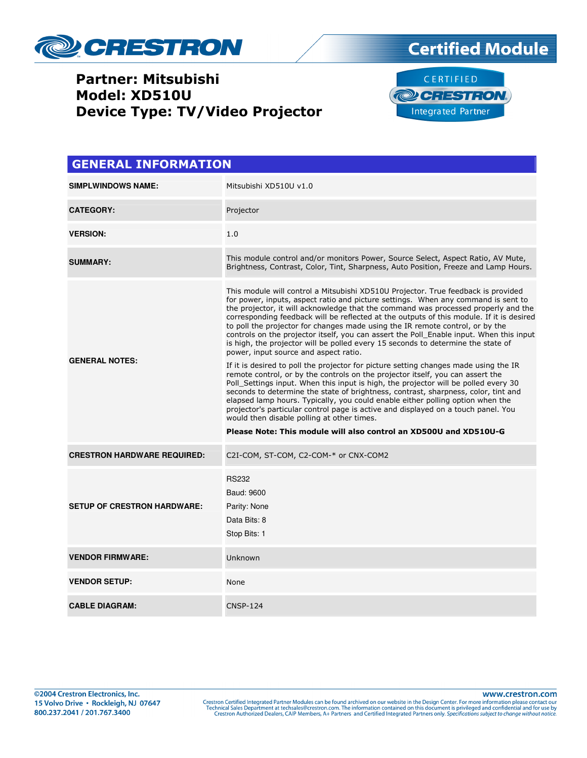

## Partner: Mitsubishi Model: XD510U Device Type: TV/Video Projector





| <b>GENERAL INFORMATION</b>         |                                                                                                                                                                                                                                                                                                                                                                                                                                                                                                                                                                                                                                                                                                                                                                                                                                                                                                                                                                                                                                                                                                                                                                                                                                                                                                                    |  |  |
|------------------------------------|--------------------------------------------------------------------------------------------------------------------------------------------------------------------------------------------------------------------------------------------------------------------------------------------------------------------------------------------------------------------------------------------------------------------------------------------------------------------------------------------------------------------------------------------------------------------------------------------------------------------------------------------------------------------------------------------------------------------------------------------------------------------------------------------------------------------------------------------------------------------------------------------------------------------------------------------------------------------------------------------------------------------------------------------------------------------------------------------------------------------------------------------------------------------------------------------------------------------------------------------------------------------------------------------------------------------|--|--|
| <b>SIMPLWINDOWS NAME:</b>          | Mitsubishi XD510U v1.0                                                                                                                                                                                                                                                                                                                                                                                                                                                                                                                                                                                                                                                                                                                                                                                                                                                                                                                                                                                                                                                                                                                                                                                                                                                                                             |  |  |
| <b>CATEGORY:</b>                   | Projector                                                                                                                                                                                                                                                                                                                                                                                                                                                                                                                                                                                                                                                                                                                                                                                                                                                                                                                                                                                                                                                                                                                                                                                                                                                                                                          |  |  |
| <b>VERSION:</b>                    | 1.0                                                                                                                                                                                                                                                                                                                                                                                                                                                                                                                                                                                                                                                                                                                                                                                                                                                                                                                                                                                                                                                                                                                                                                                                                                                                                                                |  |  |
| <b>SUMMARY:</b>                    | This module control and/or monitors Power, Source Select, Aspect Ratio, AV Mute,<br>Brightness, Contrast, Color, Tint, Sharpness, Auto Position, Freeze and Lamp Hours.                                                                                                                                                                                                                                                                                                                                                                                                                                                                                                                                                                                                                                                                                                                                                                                                                                                                                                                                                                                                                                                                                                                                            |  |  |
| <b>GENERAL NOTES:</b>              | This module will control a Mitsubishi XD510U Projector. True feedback is provided<br>for power, inputs, aspect ratio and picture settings. When any command is sent to<br>the projector, it will acknowledge that the command was processed properly and the<br>corresponding feedback will be reflected at the outputs of this module. If it is desired<br>to poll the projector for changes made using the IR remote control, or by the<br>controls on the projector itself, you can assert the Poll Enable input. When this input<br>is high, the projector will be polled every 15 seconds to determine the state of<br>power, input source and aspect ratio.<br>If it is desired to poll the projector for picture setting changes made using the IR<br>remote control, or by the controls on the projector itself, you can assert the<br>Poll Settings input. When this input is high, the projector will be polled every 30<br>seconds to determine the state of brightness, contrast, sharpness, color, tint and<br>elapsed lamp hours. Typically, you could enable either polling option when the<br>projector's particular control page is active and displayed on a touch panel. You<br>would then disable polling at other times.<br>Please Note: This module will also control an XD500U and XD510U-G |  |  |
| <b>CRESTRON HARDWARE REQUIRED:</b> | C2I-COM, ST-COM, C2-COM-* or CNX-COM2                                                                                                                                                                                                                                                                                                                                                                                                                                                                                                                                                                                                                                                                                                                                                                                                                                                                                                                                                                                                                                                                                                                                                                                                                                                                              |  |  |
| <b>SETUP OF CRESTRON HARDWARE:</b> | <b>RS232</b><br>Baud: 9600<br>Parity: None<br>Data Bits: 8<br>Stop Bits: 1                                                                                                                                                                                                                                                                                                                                                                                                                                                                                                                                                                                                                                                                                                                                                                                                                                                                                                                                                                                                                                                                                                                                                                                                                                         |  |  |
| <b>VENDOR FIRMWARE:</b>            | Unknown                                                                                                                                                                                                                                                                                                                                                                                                                                                                                                                                                                                                                                                                                                                                                                                                                                                                                                                                                                                                                                                                                                                                                                                                                                                                                                            |  |  |
| <b>VENDOR SETUP:</b>               | None                                                                                                                                                                                                                                                                                                                                                                                                                                                                                                                                                                                                                                                                                                                                                                                                                                                                                                                                                                                                                                                                                                                                                                                                                                                                                                               |  |  |
| <b>CABLE DIAGRAM:</b>              | <b>CNSP-124</b>                                                                                                                                                                                                                                                                                                                                                                                                                                                                                                                                                                                                                                                                                                                                                                                                                                                                                                                                                                                                                                                                                                                                                                                                                                                                                                    |  |  |

www.crestron.com Crestron Certified Integrated Partner Modules can be found archived on our website in the Design Center. For more information please contact our<br>Technical Sales Department at techsales@crestron.com. The information contain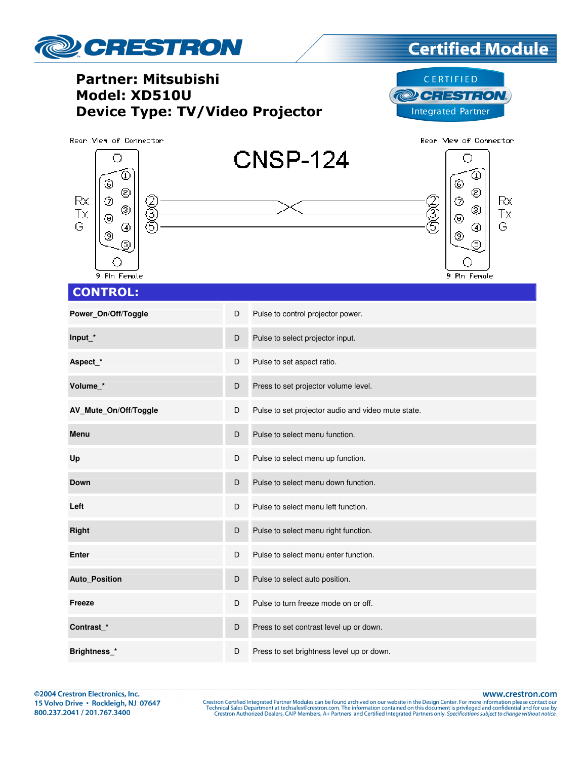

©2004 Crestron Electronics, Inc. 15 Volvo Drive · Rockleigh, NJ 07647 800.237.2041 / 201.767.3400

www.crestron.com

Crestron Certified Integrated Partner Modules can be found archived on our website in the Design Center. For more information please contact our Technical Sales Department at techsales@crestron.com. The information contain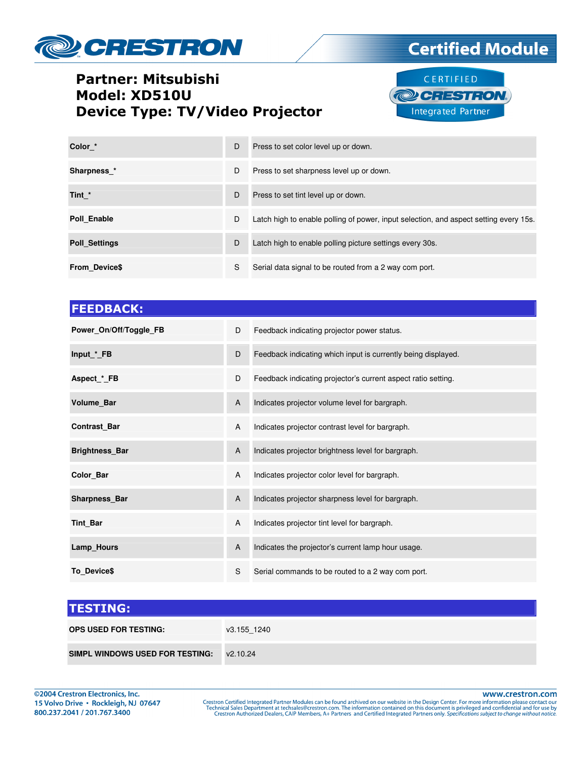

## Partner: Mitsubishi Model: XD510U Device Type: TV/Video Projector



**Certified Module** 

| Color *              | D | Press to set color level up or down.                                                  |
|----------------------|---|---------------------------------------------------------------------------------------|
| Sharpness *          | D | Press to set sharpness level up or down.                                              |
| Tint *               | D | Press to set tint level up or down.                                                   |
| Poll Enable          | D | Latch high to enable polling of power, input selection, and aspect setting every 15s. |
| <b>Poll Settings</b> | D | Latch high to enable polling picture settings every 30s.                              |
| <b>From Device\$</b> | S | Serial data signal to be routed from a 2 way com port.                                |

| D | Feedback indicating projector power status.                   |
|---|---------------------------------------------------------------|
| D | Feedback indicating which input is currently being displayed. |
| D | Feedback indicating projector's current aspect ratio setting. |
| A | Indicates projector volume level for bargraph.                |
| A | Indicates projector contrast level for bargraph.              |
| A | Indicates projector brightness level for bargraph.            |
| A | Indicates projector color level for bargraph.                 |
| A | Indicates projector sharpness level for bargraph.             |
| A | Indicates projector tint level for bargraph.                  |
| A | Indicates the projector's current lamp hour usage.            |
| S | Serial commands to be routed to a 2 way com port.             |
|   |                                                               |

| <b>TESTING:</b>                            |             |
|--------------------------------------------|-------------|
| <b>OPS USED FOR TESTING:</b>               | v3.155 1240 |
| SIMPL WINDOWS USED FOR TESTING: $v2.10.24$ |             |

www.crestron.com Crestron Certified Integrated Partner Modules can be found archived on our website in the Design Center. For more information please contact our<br>Technical Sales Department at techsales@crestron.com. The information contain